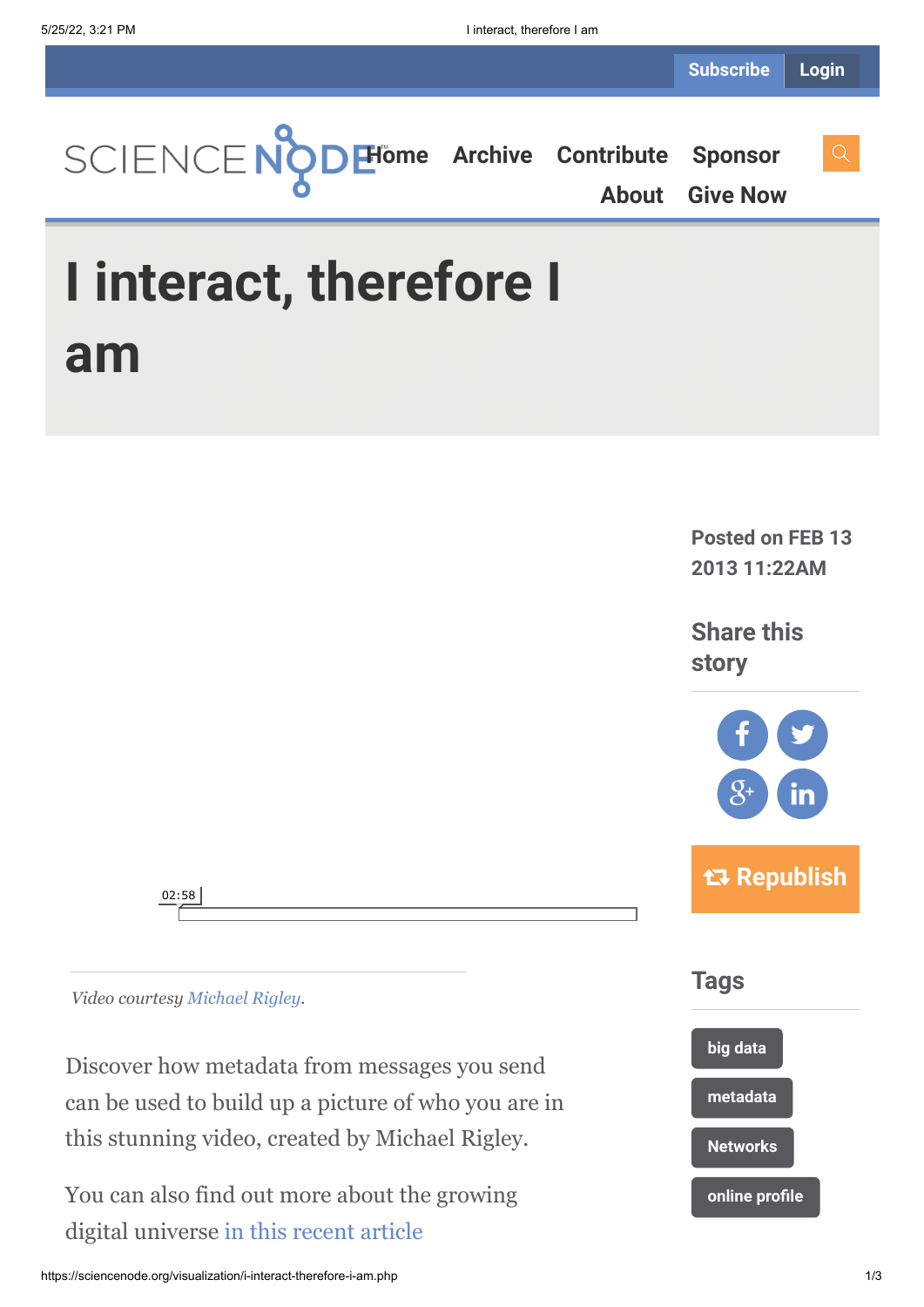

**Posted on FEB 13 2013 11:22AM**

**Share this story**



 **Republish**



*Video courtesy [Michael Rigley.](http://www.nonomy.com/)*

Discover how metadata from messages you send can be used to build up a picture of who you are in this stunning video, created by Michael Rigley.

You can also find out more about the growing digital universe [in this recent article](http://www.isgtw.org/spotlight/less-1-global-data-analyzed)

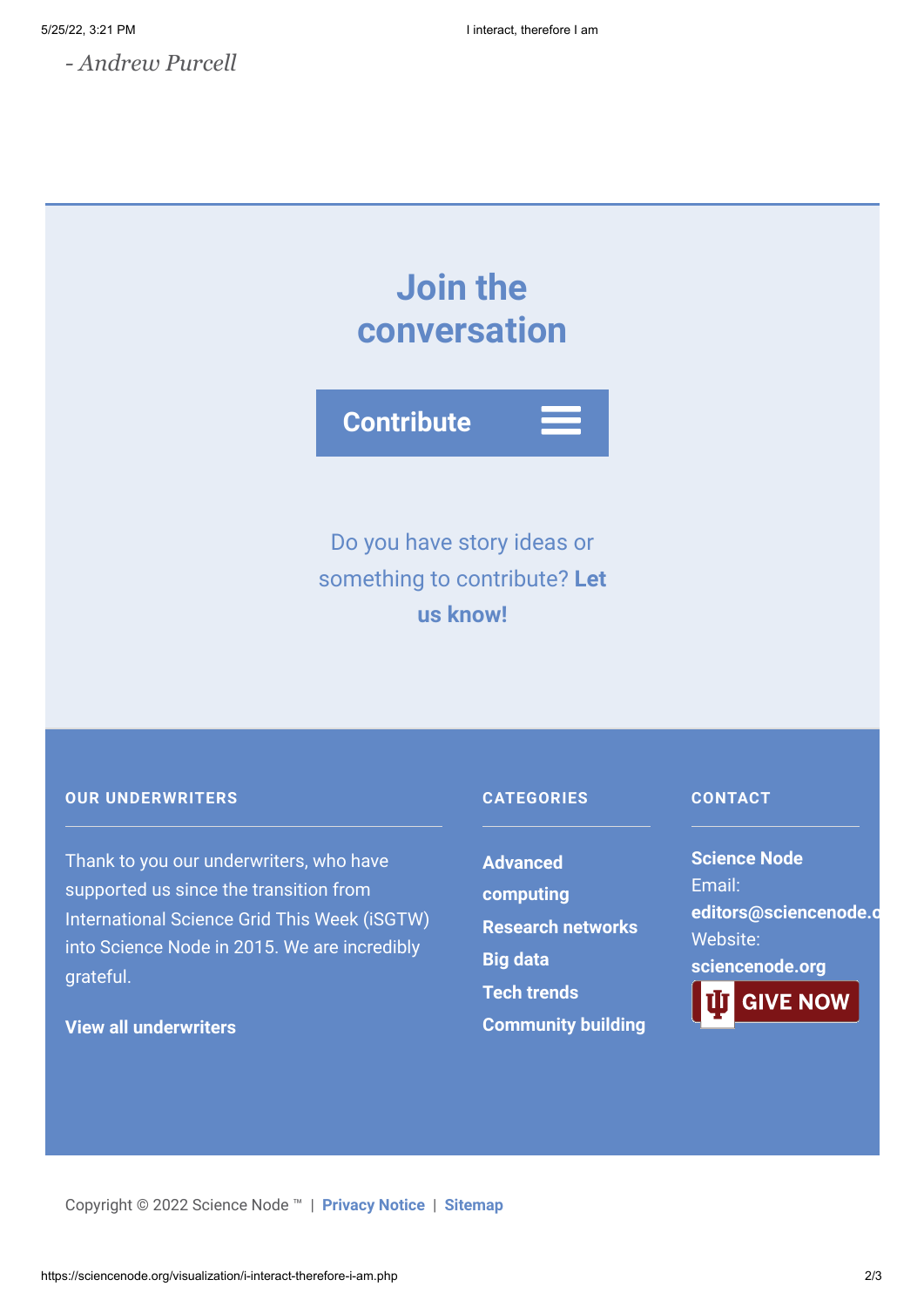*- Andrew Purcell*

# **Join the conversation**



Do you have story ideas or something to contribute? **Let us know!**

### **OUR UNDERWRITERS**

Thank to you our underwriters, who have supported us since the transition from International Science Grid This Week (iSGTW) into Science Node in 2015. We are incredibly grateful.

## **[View all underwriters](https://sciencenode.org/about/index.php)**

### **CATEGORIES**

**Advanced [computing](https://sciencenode.org/archive/?year=2016&category=Advanced%20computing) [Research networks](https://sciencenode.org/archive/?year=2016&category=Advanced%20computing&category=Research%20networks) [Big data](https://sciencenode.org/archive/?year=2016&category=Advanced%20computing&category=Research%20networks&category=Big%20data) [Tech trends](https://sciencenode.org/archive/?year=2016&category=Advanced%20computing&category=Research%20networks&category=Big%20data&category=Tech%20trends) [Community building](https://sciencenode.org/archive/?year=2016&category=Advanced%20computing&category=Research%20networks&category=Big%20data&category=Tech%20trends&category=Community%20building)**

#### **CONTACT**

**Science Node** Email: **[editors@sciencenode.o](mailto:edit%6F%72s@s%63%69encenode.%6F%72%67)** Website: **[sciencenode.org](https://sciencenode.org/) GIVE NOW** 

Copyright © 2022 Science Node ™ | **[Privacy Notice](https://sciencenode.org/privacy/index.php)** | **[Sitemap](https://sciencenode.org/sitemap/index.php)**